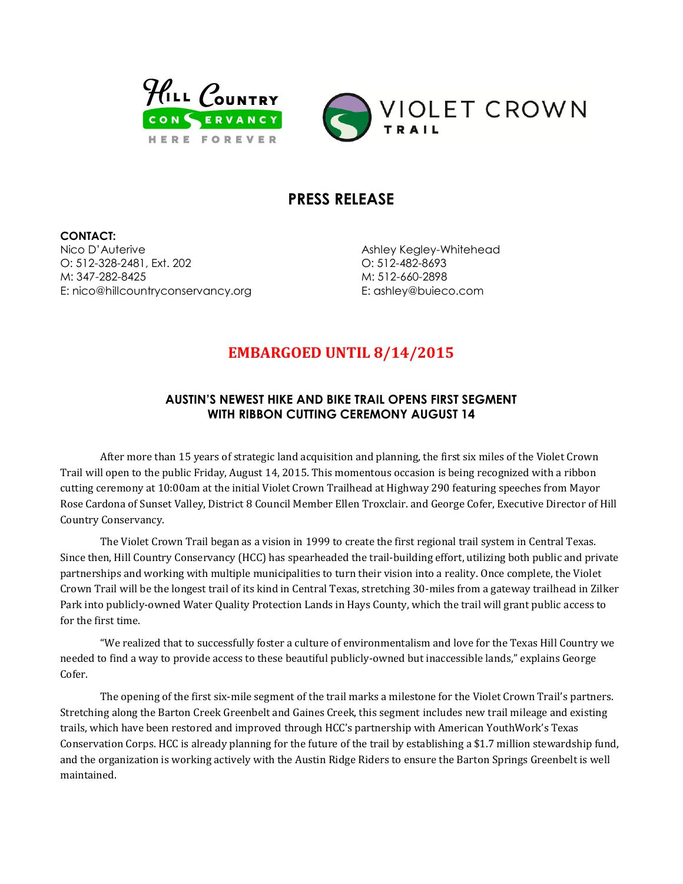



## **PRESS RELEASE**

**CONTACT:** Nico D'Auterive O: 512-328-2481, Ext. 202 M: 347-282-8425 E: nico@hillcountryconservancy.org

Ashley Kegley-Whitehead O: 512-482-8693 M: 512-660-2898 E: ashley@buieco.com

# **EMBARGOED UNTIL 8/14/2015**

### **AUSTIN'S NEWEST HIKE AND BIKE TRAIL OPENS FIRST SEGMENT WITH RIBBON CUTTING CEREMONY AUGUST 14**

After more than 15 years of strategic land acquisition and planning, the first six miles of the Violet Crown Trail will open to the public Friday, August 14, 2015. This momentous occasion is being recognized with a ribbon cutting ceremony at 10:00am at the initial Violet Crown Trailhead at Highway 290 featuring speeches from Mayor Rose Cardona of Sunset Valley, District 8 Council Member Ellen Troxclair. and George Cofer, Executive Director of Hill Country Conservancy.

The Violet Crown Trail began as a vision in 1999 to create the first regional trail system in Central Texas. Since then, Hill Country Conservancy (HCC) has spearheaded the trail-building effort, utilizing both public and private partnerships and working with multiple municipalities to turn their vision into a reality. Once complete, the Violet Crown Trail will be the longest trail of its kind in Central Texas, stretching 30-miles from a gateway trailhead in Zilker Park into publicly-owned Water Quality Protection Lands in Hays County, which the trail will grant public access to for the first time.

"We realized that to successfully foster a culture of environmentalism and love for the Texas Hill Country we needed to find a way to provide access to these beautiful publicly-owned but inaccessible lands," explains George Cofer.

The opening of the first six-mile segment of the trail marks a milestone for the Violet Crown Trail's partners. Stretching along the Barton Creek Greenbelt and Gaines Creek, this segment includes new trail mileage and existing trails, which have been restored and improved through HCC's partnership with American YouthWork's Texas Conservation Corps. HCC is already planning for the future of the trail by establishing a \$1.7 million stewardship fund, and the organization is working actively with the Austin Ridge Riders to ensure the Barton Springs Greenbelt is well maintained.